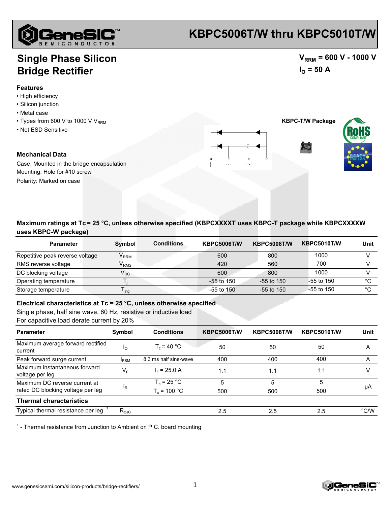

## **KBPC5006T/W thru KBPC5010T/W**

 $V_{RRM}$  = 600 V - 1000 V

 $I_{\text{O}} = 50 \text{ A}$ 

### **Single Phase Silicon Bridge Rectifier**

#### **Features**

- High efficiency
- Silicon junction
- Metal case
- $\cdot$  Types from 600 V to 1000 V V<sub>RRM</sub>
- Not ESD Sensitive

#### **Mechanical Data**

Case: Mounted in the bridge encapsulation Mounting: Hole for #10 screw Polarity: Marked on case





| <b>Parameter</b>                | <b>Symbol</b>               | <b>Conditions</b> | <b>KBPC5006T/W</b> | <b>KBPC5008T/W</b> | <b>KBPC5010T/W</b> | Unit |
|---------------------------------|-----------------------------|-------------------|--------------------|--------------------|--------------------|------|
| Repetitive peak reverse voltage | $\mathsf{V}_\mathsf{RRM}$   |                   | 600                | 800                | 1000               |      |
| RMS reverse voltage             | $\mathsf{V}_{\mathsf{RMS}}$ |                   | 420                | 560                | 700                |      |
| DC blocking voltage             | $\mathsf{V}_\mathsf{DC}$    |                   | 600                | 800                | 1000               |      |
| Operating temperature           |                             |                   | $-55$ to $150$     | $-55$ to 150       | $-55$ to 150       | °C   |
| Storage temperature             | $\mathsf{T}_{\mathsf{stg}}$ |                   | $-55$ to $150$     | $-55$ to 150       | $-55$ to 150       | °C   |

**Electrical characteristics at Tc = 25 °C, unless otherwise specified**

Single phase, half sine wave, 60 Hz, resistive or inductive load

For capacitive load derate current by 20%

| <b>Parameter</b>                                 | Symbol           | <b>Conditions</b>     | <b>KBPC5006T/W</b> | <b>KBPC5008T/W</b> | KBPC5010T/W | Unit          |
|--------------------------------------------------|------------------|-----------------------|--------------------|--------------------|-------------|---------------|
| Maximum average forward rectified<br>current     | ΙO               | $T_c = 40 °C$         | 50                 | 50                 | 50          | A             |
| Peak forward surge current                       | <b>IFSM</b>      | 8.3 ms half sine-wave | 400                | 400                | 400         | A             |
| Maximum instantaneous forward<br>voltage per leg | $V_{F}$          | $I_F$ = 25.0 A        | 1.1                | 1.1                | 1.1         |               |
| Maximum DC reverse current at                    | <sup>I</sup> R   | $T_c = 25 °C$         | 5                  | 5                  | 5           | μA            |
| rated DC blocking voltage per leg                |                  | $T_c = 100 °C$        | 500                | 500                | 500         |               |
| <b>Thermal characteristics</b>                   |                  |                       |                    |                    |             |               |
| Typical thermal resistance per leg               | $R_{\text{eJC}}$ |                       | 2.5                | 2.5                | 2.5         | $\degree$ C/W |

<sup>1</sup> - Thermal resistance from Junction to Ambient on P.C. board mounting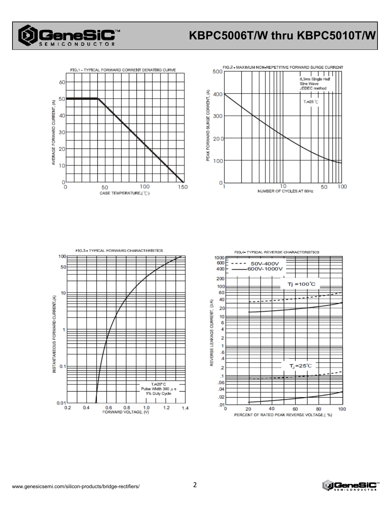

# **KBPC5006T/W thru KBPC5010T/W**